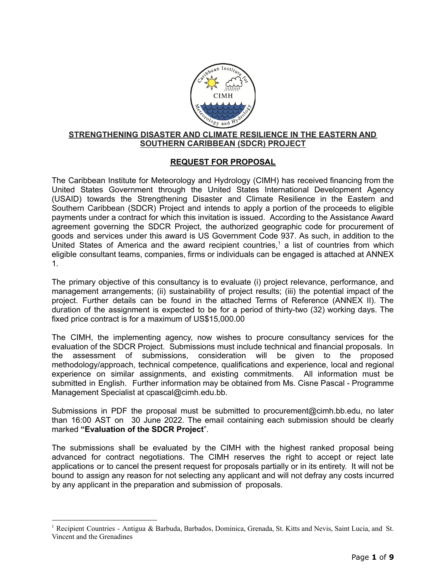

### **STRENGTHENING DISASTER AND CLIMATE RESILIENCE IN THE EASTERN AND SOUTHERN CARIBBEAN (SDCR) PROJECT**

# **REQUEST FOR PROPOSAL**

The Caribbean Institute for Meteorology and Hydrology (CIMH) has received financing from the United States Government through the United States International Development Agency (USAID) towards the Strengthening Disaster and Climate Resilience in the Eastern and Southern Caribbean (SDCR) Project and intends to apply a portion of the proceeds to eligible payments under a contract for which this invitation is issued. According to the Assistance Award agreement governing the SDCR Project, the authorized geographic code for procurement of goods and services under this award is US Government Code 937. As such, in addition to the United States of America and the award recipient countries, <sup>1</sup> a list of countries from which eligible consultant teams, companies, firms or individuals can be engaged is attached at ANNEX 1.

The primary objective of this consultancy is to evaluate (i) project relevance, performance, and management arrangements; (ii) sustainability of project results; (iii) the potential impact of the project. Further details can be found in the attached Terms of Reference (ANNEX II). The duration of the assignment is expected to be for a period of thirty-two (32) working days. The fixed price contract is for a maximum of US\$15,000.00

The CIMH, the implementing agency, now wishes to procure consultancy services for the evaluation of the SDCR Project. Submissions must include technical and financial proposals. In the assessment of submissions, consideration will be given to the proposed methodology/approach, technical competence, qualifications and experience, local and regional experience on similar assignments, and existing commitments. All information must be submitted in English. Further information may be obtained from Ms. Cisne Pascal - Programme Management Specialist at [cpascal@cimh.edu.bb.](mailto:cpascal@cimh.edu.bb)

Submissions in PDF the proposal must be submitted to procurement[@cimh.bb.edu,](mailto:dfarrell@cimh.bb.edu) no later than 16:00 AST on 30 June 2022. The email containing each submission should be clearly marked **"Evaluation of the SDCR Project**".

The submissions shall be evaluated by the CIMH with the highest ranked proposal being advanced for contract negotiations. The CIMH reserves the right to accept or reject late applications or to cancel the present request for proposals partially or in its entirety. It will not be bound to assign any reason for not selecting any applicant and will not defray any costs incurred by any applicant in the preparation and submission of proposals.

<sup>1</sup> Recipient Countries - Antigua & Barbuda, Barbados, Dominica, Grenada, St. Kitts and Nevis, Saint Lucia, and St. Vincent and the Grenadines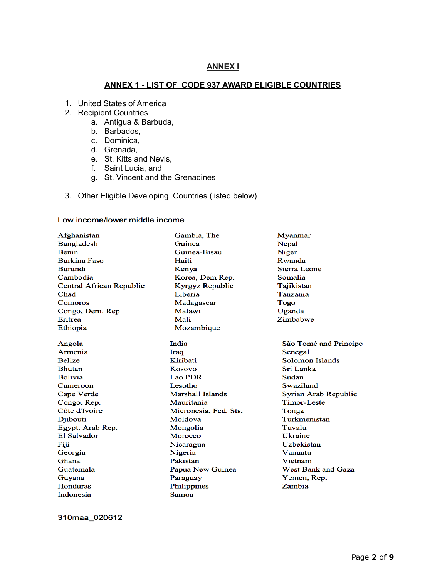### **ANNEX I**

### **ANNEX 1 - LIST OF CODE 937 AWARD ELIGIBLE COUNTRIES**

- 1. United States of America
- 2. Recipient Countries
	- a. Antigua & Barbuda,
	- b. Barbados,
	- c. Dominica,
	- d. Grenada,
	- e. St. Kitts and Nevis,
	- f. Saint Lucia, and
	- g. St. Vincent and the Grenadines
- 3. Other Eligible Developing Countries (listed below)

#### Low income/lower middle income

| Afghanistan              | Gambia, The           | Myanmar                   |  |
|--------------------------|-----------------------|---------------------------|--|
| Bangladesh               | Guinea                | Nepal                     |  |
| Benin                    | Guinea-Bisau          | Niger                     |  |
| <b>Burkina Faso</b>      | Haiti                 | Rwanda                    |  |
| <b>Burundi</b>           | Kenya                 | Sierra Leone              |  |
| Cambodia                 | Korea, Dem Rep.       | Somalia                   |  |
| Central African Republic | Kyrgyz Republic       | Tajikistan                |  |
| Chad                     | Liberia               | Tanzania                  |  |
| Comoros                  | Madagascar            | Togo                      |  |
| Congo, Dem. Rep          | Malawi                | Uganda                    |  |
| <b>Eritrea</b>           | Mali                  | Zimbabwe                  |  |
| Ethiopia                 | Mozambique            |                           |  |
| Angola                   | India                 | São Tomé and Principe     |  |
| Armenia                  | Iraq                  | Senegal                   |  |
| <b>Belize</b>            | Kiribati              | Solomon Islands           |  |
| <b>Bhutan</b>            | Kosovo                | Sri Lanka                 |  |
| <b>Bolivia</b>           | <b>Lao PDR</b>        | Sudan                     |  |
| Cameroon                 | Lesotho               | Swaziland                 |  |
| Cape Verde               | Marshall Islands      | Syrian Arab Republic      |  |
| Congo, Rep.              | Mauritania            | Timor-Leste               |  |
| Côte d'Ivoire            | Micronesia, Fed. Sts. | Tonga                     |  |
| Djibouti                 | Moldova               | Turkmenistan              |  |
| Egypt, Arab Rep.         | Mongolia              | Tuvalu                    |  |
| El Salvador              | Morocco               | <b>Ukraine</b>            |  |
| Fiji                     | Nicaragua             | Uzbekistan                |  |
| Georgia                  | Nigeria               | Vanuatu                   |  |
| <b>Ghana</b>             | Pakistan              | Vietnam                   |  |
| Guatemala                | Papua New Guinea      | <b>West Bank and Gaza</b> |  |
| Guyana                   | Paraguay              | Yemen, Rep.               |  |
| <b>Honduras</b>          | Philippines           | Zambia                    |  |
| Indonesia                | Samoa                 |                           |  |

310maa\_020612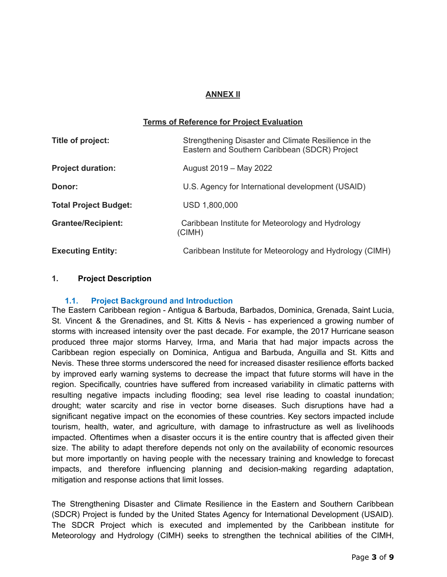# **ANNEX II**

## **Terms of Reference for Project Evaluation**

| Title of project:            | Strengthening Disaster and Climate Resilience in the<br>Eastern and Southern Caribbean (SDCR) Project |  |
|------------------------------|-------------------------------------------------------------------------------------------------------|--|
| <b>Project duration:</b>     | August 2019 - May 2022                                                                                |  |
| Donor:                       | U.S. Agency for International development (USAID)                                                     |  |
| <b>Total Project Budget:</b> | USD 1,800,000                                                                                         |  |
| <b>Grantee/Recipient:</b>    | Caribbean Institute for Meteorology and Hydrology<br>(CIMH)                                           |  |
| <b>Executing Entity:</b>     | Caribbean Institute for Meteorology and Hydrology (CIMH)                                              |  |

### **1. Project Description**

#### **1.1. Project Background and Introduction**

The Eastern Caribbean region - Antigua & Barbuda, Barbados, Dominica, Grenada, Saint Lucia, St. Vincent & the Grenadines, and St. Kitts & Nevis - has experienced a growing number of storms with increased intensity over the past decade. For example, the 2017 Hurricane season produced three major storms Harvey, Irma, and Maria that had major impacts across the Caribbean region especially on Dominica, Antigua and Barbuda, Anguilla and St. Kitts and Nevis. These three storms underscored the need for increased disaster resilience efforts backed by improved early warning systems to decrease the impact that future storms will have in the region. Specifically, countries have suffered from increased variability in climatic patterns with resulting negative impacts including flooding; sea level rise leading to coastal inundation; drought; water scarcity and rise in vector borne diseases. Such disruptions have had a significant negative impact on the economies of these countries. Key sectors impacted include tourism, health, water, and agriculture, with damage to infrastructure as well as livelihoods impacted. Oftentimes when a disaster occurs it is the entire country that is affected given their size. The ability to adapt therefore depends not only on the availability of economic resources but more importantly on having people with the necessary training and knowledge to forecast impacts, and therefore influencing planning and decision-making regarding adaptation, mitigation and response actions that limit losses.

The Strengthening Disaster and Climate Resilience in the Eastern and Southern Caribbean (SDCR) Project is funded by the United States Agency for International Development (USAID). The SDCR Project which is executed and implemented by the Caribbean institute for Meteorology and Hydrology (CIMH) seeks to strengthen the technical abilities of the CIMH,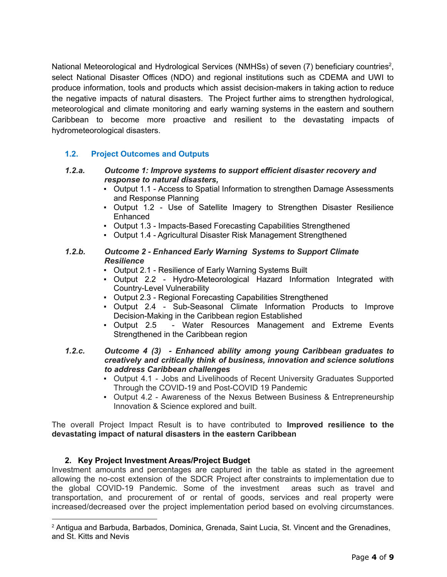National Meteorological and Hydrological Services (NMHSs) of seven (7) beneficiary countries<sup>2</sup>, select National Disaster Offices (NDO) and regional institutions such as CDEMA and UWI to produce information, tools and products which assist decision-makers in taking action to reduce the negative impacts of natural disasters. The Project further aims to strengthen hydrological, meteorological and climate monitoring and early warning systems in the eastern and southern Caribbean to become more proactive and resilient to the devastating impacts of hydrometeorological disasters.

# **1.2. Project Outcomes and Outputs**

- *1.2.a. Outcome 1: Improve systems to support efficient disaster recovery and response to natural disasters,*
	- Output 1.1 Access to Spatial Information to strengthen Damage Assessments and Response Planning
	- Output 1.2 Use of Satellite Imagery to Strengthen Disaster Resilience Enhanced
	- Output 1.3 Impacts-Based Forecasting Capabilities Strengthened
	- Output 1.4 Agricultural Disaster Risk Management Strengthened

### *1.2.b. Outcome 2 - Enhanced Early Warning Systems to Support Climate Resilience*

- Output 2.1 Resilience of Early Warning Systems Built
- Output 2.2 Hydro-Meteorological Hazard Information Integrated with Country-Level Vulnerability
- Output 2.3 Regional Forecasting Capabilities Strengthened
- Output 2.4 Sub-Seasonal Climate Information Products to Improve Decision-Making in the Caribbean region Established
- Output 2.5 Water Resources Management and Extreme Events Strengthened in the Caribbean region
- *1.2.c. Outcome 4 (3) - Enhanced ability among young Caribbean graduates to creatively and critically think of business, innovation and science solutions to address Caribbean challenges*
	- Output 4.1 Jobs and Livelihoods of Recent University Graduates Supported Through the COVID-19 and Post-COVID 19 Pandemic
	- Output 4.2 Awareness of the Nexus Between Business & Entrepreneurship Innovation & Science explored and built.

The overall Project Impact Result is to have contributed to **Improved resilience to the devastating impact of natural disasters in the eastern Caribbean**

## **2. Key Project Investment Areas/Project Budget**

Investment amounts and percentages are captured in the table as stated in the agreement allowing the no-cost extension of the SDCR Project after constraints to implementation due to the global COVID-19 Pandemic. Some of the investment areas such as travel and transportation, and procurement of or rental of goods, services and real property were increased/decreased over the project implementation period based on evolving circumstances.

<sup>2</sup> Antigua and Barbuda, Barbados, Dominica, Grenada, Saint Lucia, St. Vincent and the Grenadines, and St. Kitts and Nevis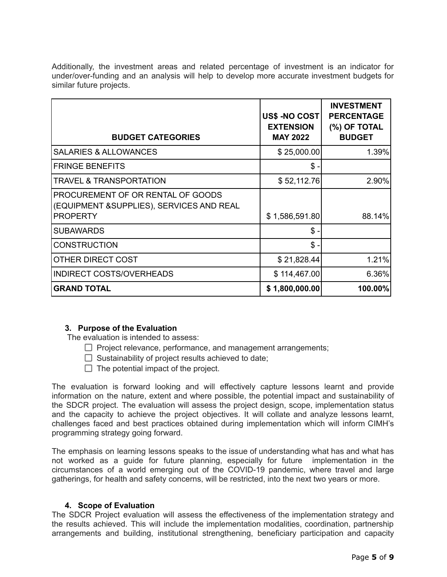Additionally, the investment areas and related percentage of investment is an indicator for under/over-funding and an analysis will help to develop more accurate investment budgets for similar future projects.

| <b>BUDGET CATEGORIES</b>                                                                          | US\$ -NO COST<br><b>EXTENSION</b><br><b>MAY 2022</b> | <b>INVESTMENT</b><br><b>PERCENTAGE</b><br>(%) OF TOTAL<br><b>BUDGET</b> |
|---------------------------------------------------------------------------------------------------|------------------------------------------------------|-------------------------------------------------------------------------|
| <b>SALARIES &amp; ALLOWANCES</b>                                                                  | \$25,000.00                                          | 1.39%                                                                   |
| <b>FRINGE BENEFITS</b>                                                                            | $$$ .                                                |                                                                         |
| <b>TRAVEL &amp; TRANSPORTATION</b>                                                                | \$52,112.76                                          | $2.90\%$                                                                |
| PROCUREMENT OF OR RENTAL OF GOODS<br>(EQUIPMENT & SUPPLIES), SERVICES AND REAL<br><b>PROPERTY</b> | \$1,586,591.80                                       | 88.14%                                                                  |
| <b>SUBAWARDS</b>                                                                                  | $\mathsf{\$}$ .                                      |                                                                         |
| <b>CONSTRUCTION</b>                                                                               | $\mathsf{\$}$ .                                      |                                                                         |
| OTHER DIRECT COST                                                                                 | \$21,828.44                                          | 1.21%                                                                   |
| <b>INDIRECT COSTS/OVERHEADS</b>                                                                   | \$114,467.00                                         | $6.36\%$                                                                |
| <b>GRAND TOTAL</b>                                                                                | \$1,800,000.00                                       | 100.00%                                                                 |

#### **3. Purpose of the Evaluation**

The evaluation is intended to assess:

- $\Box$  Project relevance, performance, and management arrangements;
- $\Box$  Sustainability of project results achieved to date;
- $\Box$  The potential impact of the project.

The evaluation is forward looking and will effectively capture lessons learnt and provide information on the nature, extent and where possible, the potential impact and sustainability of the SDCR project. The evaluation will assess the project design, scope, implementation status and the capacity to achieve the project objectives. It will collate and analyze lessons learnt, challenges faced and best practices obtained during implementation which will inform CIMH's programming strategy going forward.

The emphasis on learning lessons speaks to the issue of understanding what has and what has not worked as a guide for future planning, especially for future implementation in the circumstances of a world emerging out of the COVID-19 pandemic, where travel and large gatherings, for health and safety concerns, will be restricted, into the next two years or more.

#### **4. Scope of Evaluation**

The SDCR Project evaluation will assess the effectiveness of the implementation strategy and the results achieved. This will include the implementation modalities, coordination, partnership arrangements and building, institutional strengthening, beneficiary participation and capacity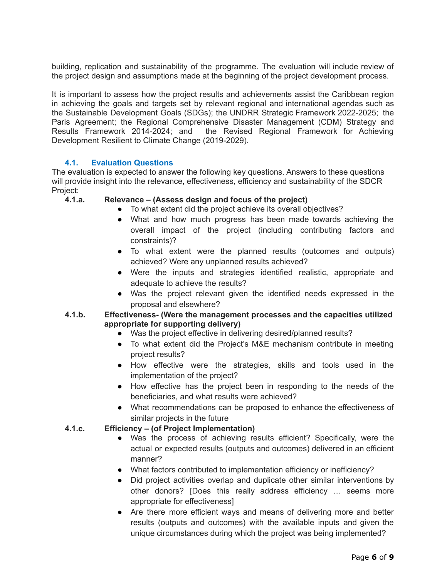building, replication and sustainability of the programme. The evaluation will include review of the project design and assumptions made at the beginning of the project development process.

It is important to assess how the project results and achievements assist the Caribbean region in achieving the goals and targets set by relevant regional and international agendas such as the Sustainable Development Goals (SDGs); the UNDRR Strategic Framework 2022-2025; the Paris Agreement; the Regional Comprehensive Disaster Management (CDM) Strategy and Results Framework 2014-2024; and the Revised Regional Framework for Achieving Development Resilient to Climate Change (2019-2029).

# **4.1. Evaluation Questions**

The evaluation is expected to answer the following key questions. Answers to these questions will provide insight into the relevance, effectiveness, efficiency and sustainability of the SDCR Project:

### **4.1.a. Relevance – (Assess design and focus of the project)**

- To what extent did the project achieve its overall objectives?
- What and how much progress has been made towards achieving the overall impact of the project (including contributing factors and constraints)?
- To what extent were the planned results (outcomes and outputs) achieved? Were any unplanned results achieved?
- Were the inputs and strategies identified realistic, appropriate and adequate to achieve the results?
- Was the project relevant given the identified needs expressed in the proposal and elsewhere?

## **4.1.b. Effectiveness- (Were the management processes and the capacities utilized appropriate for supporting delivery)**

- Was the project effective in delivering desired/planned results?
- To what extent did the Project's M&E mechanism contribute in meeting project results?
- How effective were the strategies, skills and tools used in the implementation of the project?
- How effective has the project been in responding to the needs of the beneficiaries, and what results were achieved?
- What recommendations can be proposed to enhance the effectiveness of similar projects in the future

## **4.1.c. Efficiency – (of Project Implementation)**

- Was the process of achieving results efficient? Specifically, were the actual or expected results (outputs and outcomes) delivered in an efficient manner?
- What factors contributed to implementation efficiency or inefficiency?
- Did project activities overlap and duplicate other similar interventions by other donors? [Does this really address efficiency … seems more appropriate for effectiveness]
- Are there more efficient ways and means of delivering more and better results (outputs and outcomes) with the available inputs and given the unique circumstances during which the project was being implemented?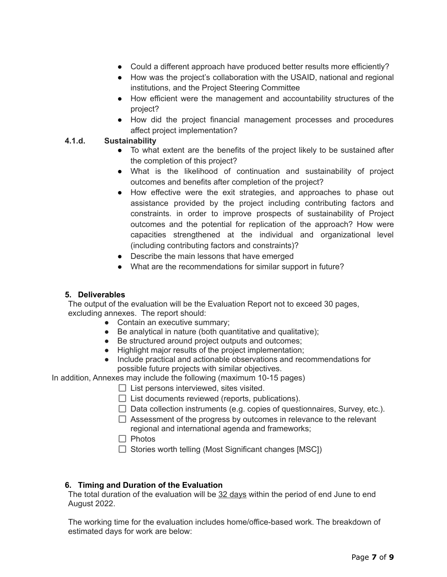- Could a different approach have produced better results more efficiently?
- How was the project's collaboration with the USAID, national and regional institutions, and the Project Steering Committee
- How efficient were the management and accountability structures of the project?
- How did the project financial management processes and procedures affect project implementation?

# **4.1.d. Sustainability**

- To what extent are the benefits of the project likely to be sustained after the completion of this project?
- What is the likelihood of continuation and sustainability of project outcomes and benefits after completion of the project?
- How effective were the exit strategies, and approaches to phase out assistance provided by the project including contributing factors and constraints. in order to improve prospects of sustainability of Project outcomes and the potential for replication of the approach? How were capacities strengthened at the individual and organizational level (including contributing factors and constraints)?
- Describe the main lessons that have emerged
- What are the recommendations for similar support in future?

## **5. Deliverables**

The output of the evaluation will be the Evaluation Report not to exceed 30 pages, excluding annexes. The report should:

- Contain an executive summary;
- Be analytical in nature (both quantitative and qualitative);
- Be structured around project outputs and outcomes;
- Highlight major results of the project implementation;
- Include practical and actionable observations and recommendations for possible future projects with similar objectives.

In addition, Annexes may include the following (maximum 10-15 pages)

- $\Box$  List persons interviewed, sites visited.
- $\Box$  List documents reviewed (reports, publications).
- $\Box$  Data collection instruments (e.g. copies of questionnaires, Survey, etc.).
- $\Box$  Assessment of the progress by outcomes in relevance to the relevant regional and international agenda and frameworks;
- $\Box$  Photos
- $\Box$  Stories worth telling (Most Significant changes [MSC])

## **6. Timing and Duration of the Evaluation**

The total duration of the evaluation will be 32 days within the period of end June to end August 2022.

The working time for the evaluation includes home/office-based work. The breakdown of estimated days for work are below: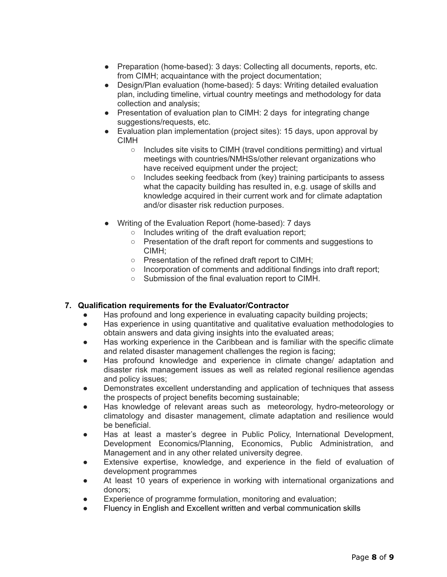- Preparation (home-based): 3 days: Collecting all documents, reports, etc. from CIMH; acquaintance with the project documentation;
- Design/Plan evaluation (home-based): 5 days: Writing detailed evaluation plan, including timeline, virtual country meetings and methodology for data collection and analysis;
- Presentation of evaluation plan to CIMH: 2 days for integrating change suggestions/requests, etc.
- Evaluation plan implementation (project sites): 15 days, upon approval by CIMH
	- Includes site visits to CIMH (travel conditions permitting) and virtual meetings with countries/NMHSs/other relevant organizations who have received equipment under the project;
	- Includes seeking feedback from (key) training participants to assess what the capacity building has resulted in, e.g. usage of skills and knowledge acquired in their current work and for climate adaptation and/or disaster risk reduction purposes.
- Writing of the Evaluation Report (home-based): 7 days
	- Includes writing of the draft evaluation report;
	- Presentation of the draft report for comments and suggestions to CIMH;
	- Presentation of the refined draft report to CIMH;
	- Incorporation of comments and additional findings into draft report;
	- Submission of the final evaluation report to CIMH.

## **7. Qualification requirements for the Evaluator/Contractor**

- Has profound and long experience in evaluating capacity building projects;
- Has experience in using quantitative and qualitative evaluation methodologies to obtain answers and data giving insights into the evaluated areas;
- Has working experience in the Caribbean and is familiar with the specific climate and related disaster management challenges the region is facing;
- Has profound knowledge and experience in climate change/ adaptation and disaster risk management issues as well as related regional resilience agendas and policy issues;
- Demonstrates excellent understanding and application of techniques that assess the prospects of project benefits becoming sustainable;
- Has knowledge of relevant areas such as meteorology, hydro-meteorology or climatology and disaster management, climate adaptation and resilience would be beneficial.
- Has at least a master's degree in Public Policy, International Development, Development Economics/Planning, Economics, Public Administration, and Management and in any other related university degree.
- Extensive expertise, knowledge, and experience in the field of evaluation of development programmes
- At least 10 years of experience in working with international organizations and donors;
- Experience of programme formulation, monitoring and evaluation;
- Fluency in English and Excellent written and verbal communication skills